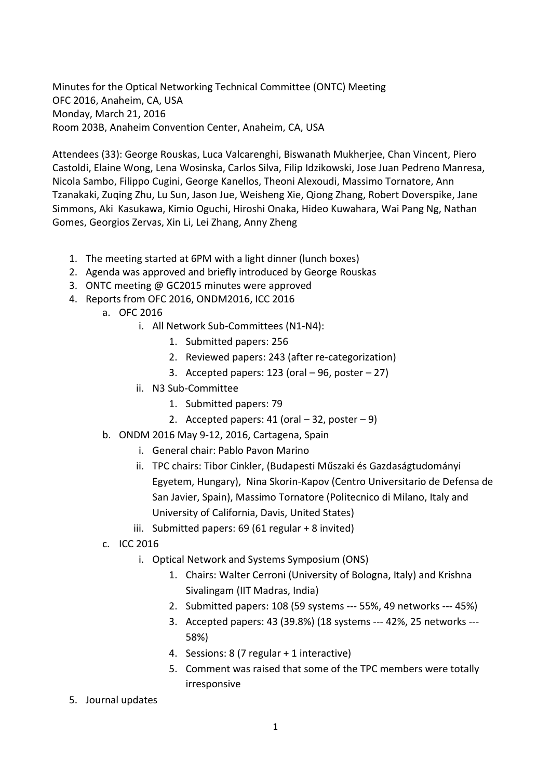Minutes for the Optical Networking Technical Committee (ONTC) Meeting OFC 2016, Anaheim, CA, USA Monday, March 21, 2016 Room 203B, Anaheim Convention Center, Anaheim, CA, USA

Attendees (33): George Rouskas, Luca Valcarenghi, Biswanath Mukherjee, Chan Vincent, Piero Castoldi, Elaine Wong, Lena Wosinska, Carlos Silva, Filip Idzikowski, Jose Juan Pedreno Manresa, Nicola Sambo, Filippo Cugini, George Kanellos, Theoni Alexoudi, Massimo Tornatore, Ann Tzanakaki, Zuqing Zhu, Lu Sun, Jason Jue, Weisheng Xie, Qiong Zhang, Robert Doverspike, Jane Simmons, Aki Kasukawa, Kimio Oguchi, Hiroshi Onaka, Hideo Kuwahara, Wai Pang Ng, Nathan Gomes, Georgios Zervas, Xin Li, Lei Zhang, Anny Zheng

- 1. The meeting started at 6PM with a light dinner (lunch boxes)
- 2. Agenda was approved and briefly introduced by George Rouskas
- 3. ONTC meeting @ GC2015 minutes were approved
- 4. Reports from OFC 2016, ONDM2016, ICC 2016
	- a. OFC 2016
		- i. All Network Sub-Committees (N1-N4):
			- 1. Submitted papers: 256
			- 2. Reviewed papers: 243 (after re-categorization)
			- 3. Accepted papers: 123 (oral  $-96$ , poster  $-27$ )
		- ii. N3 Sub-Committee
			- 1. Submitted papers: 79
			- 2. Accepted papers:  $41$  (oral  $-32$ , poster  $-9$ )
	- b. ONDM 2016 May 9-12, 2016, Cartagena, Spain
		- i. General chair: Pablo Pavon Marino
		- ii. TPC chairs: Tibor Cinkler, (Budapesti Műszaki és Gazdaságtudományi Egyetem, Hungary), Nina Skorin-Kapov (Centro Universitario de Defensa de San Javier, Spain), Massimo Tornatore (Politecnico di Milano, Italy and University of California, Davis, United States)
		- iii. Submitted papers: 69 (61 regular + 8 invited)
	- c. ICC 2016
		- i. Optical Network and Systems Symposium (ONS)
			- 1. Chairs: Walter Cerroni (University of Bologna, Italy) and Krishna Sivalingam (IIT Madras, India)
			- 2. Submitted papers: 108 (59 systems --- 55%, 49 networks --- 45%)
			- 3. Accepted papers: 43 (39.8%) (18 systems --- 42%, 25 networks --- 58%)
			- 4. Sessions: 8 (7 regular + 1 interactive)
			- 5. Comment was raised that some of the TPC members were totally irresponsive
- 5. Journal updates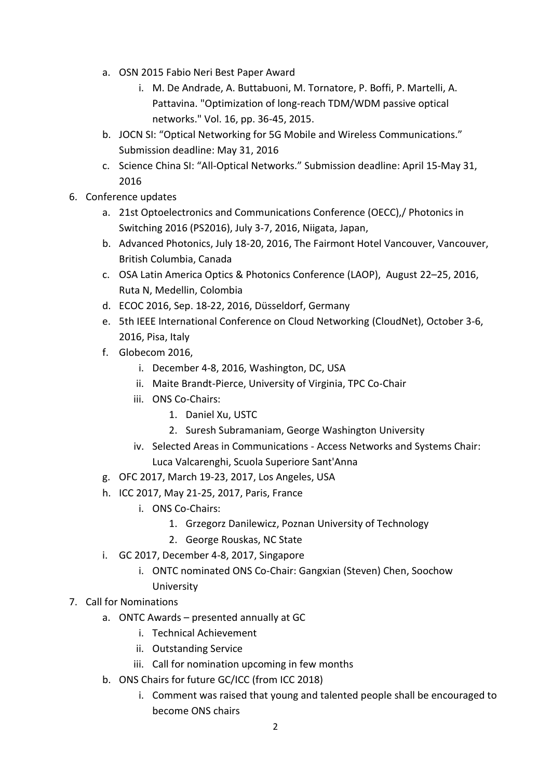- a. OSN 2015 Fabio Neri Best Paper Award
	- i. M. De Andrade, A. Buttabuoni, M. Tornatore, P. Boffi, P. Martelli, A. Pattavina. "Optimization of long-reach TDM/WDM passive optical networks." Vol. 16, pp. 36-45, 2015.
- b. JOCN SI: "Optical Networking for 5G Mobile and Wireless Communications." Submission deadline: May 31, 2016
- c. Science China SI: "All-Optical Networks." Submission deadline: April 15-May 31, 2016
- 6. Conference updates
	- a. 21st Optoelectronics and Communications Conference (OECC),/ Photonics in Switching 2016 (PS2016), July 3-7, 2016, Niigata, Japan,
	- b. Advanced Photonics, July 18-20, 2016, The Fairmont Hotel Vancouver, Vancouver, British Columbia, Canada
	- c. OSA Latin America Optics & Photonics Conference (LAOP), August 22–25, 2016, Ruta N, Medellin, Colombia
	- d. ECOC 2016, Sep. 18-22, 2016, Düsseldorf, Germany
	- e. 5th IEEE International Conference on Cloud Networking (CloudNet), October 3-6, 2016, Pisa, Italy
	- f. Globecom 2016,
		- i. December 4-8, 2016, Washington, DC, USA
		- ii. Maite Brandt-Pierce, University of Virginia, TPC Co-Chair
		- iii. ONS Co-Chairs:
			- 1. Daniel Xu, USTC
			- 2. Suresh Subramaniam, George Washington University
		- iv. Selected Areas in Communications Access Networks and Systems Chair: Luca Valcarenghi, Scuola Superiore Sant'Anna
	- g. OFC 2017, March 19-23, 2017, Los Angeles, USA
	- h. ICC 2017, May 21-25, 2017, Paris, France
		- i. ONS Co-Chairs:
			- 1. Grzegorz Danilewicz, Poznan University of Technology
			- 2. George Rouskas, NC State
	- i. GC 2017, December 4-8, 2017, Singapore
		- i. ONTC nominated ONS Co-Chair: Gangxian (Steven) Chen, Soochow **University**
- 7. Call for Nominations
	- a. ONTC Awards presented annually at GC
		- i. Technical Achievement
		- ii. Outstanding Service
		- iii. Call for nomination upcoming in few months
	- b. ONS Chairs for future GC/ICC (from ICC 2018)
		- i. Comment was raised that young and talented people shall be encouraged to become ONS chairs